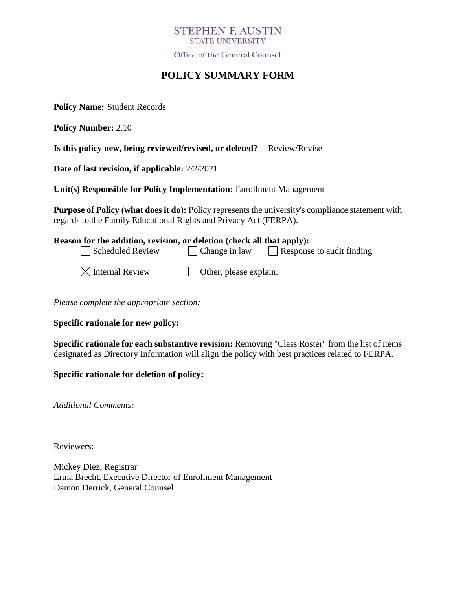# **STEPHEN F. AUSTIN STATE UNIVERSITY**

Office of the General Counsel

# **POLICY SUMMARY FORM**

**Policy Name:** Student Records

**Policy Number:** 2.10

**Is this policy new, being reviewed/revised, or deleted?** Review/Revise

**Date of last revision, if applicable:** 2/2/2021

**Unit(s) Responsible for Policy Implementation:** Enrollment Management

**Purpose of Policy (what does it do):** Policy represents the university's compliance statement with regards to the Family Educational Rights and Privacy Act (FERPA).

# **Reason for the addition, revision, or deletion (check all that apply):**  $\Box$  Scheduled Review  $\Box$  Change in law  $\Box$  Response to audit finding

| $\boxtimes$ Internal Review | $\Box$ Other, please explain: |
|-----------------------------|-------------------------------|
|-----------------------------|-------------------------------|

*Please complete the appropriate section:*

**Specific rationale for new policy:**

**Specific rationale for each substantive revision:** Removing "Class Roster" from the list of items designated as Directory Information will align the policy with best practices related to FERPA.

**Specific rationale for deletion of policy:**

*Additional Comments:*

Reviewers:

Mickey Diez, Registrar Erma Brecht, Executive Director of Enrollment Management Damon Derrick, General Counsel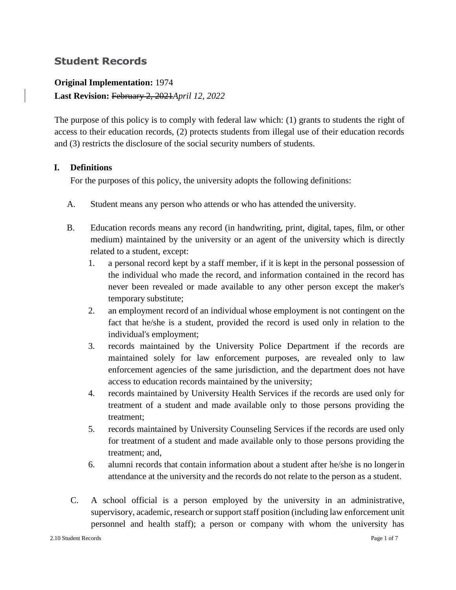# **Student Records**

## **Original Implementation:** 1974

## **Last Revision:** February 2, 2021*April 12, 2022*

The purpose of this policy is to comply with federal law which: (1) grants to students the right of access to their education records, (2) protects students from illegal use of their education records and (3) restricts the disclosure of the social security numbers of students.

## **I. Definitions**

For the purposes of this policy, the university adopts the following definitions:

- A. Student means any person who attends or who has attended the university.
- B. Education records means any record (in handwriting, print, digital, tapes, film, or other medium) maintained by the university or an agent of the university which is directly related to a student, except:
	- 1. a personal record kept by a staff member, if it is kept in the personal possession of the individual who made the record, and information contained in the record has never been revealed or made available to any other person except the maker's temporary substitute;
	- 2. an employment record of an individual whose employment is not contingent on the fact that he/she is a student, provided the record is used only in relation to the individual's employment;
	- 3. records maintained by the University Police Department if the records are maintained solely for law enforcement purposes, are revealed only to law enforcement agencies of the same jurisdiction, and the department does not have access to education records maintained by the university;
	- 4. records maintained by University Health Services if the records are used only for treatment of a student and made available only to those persons providing the treatment;
	- 5. records maintained by University Counseling Services if the records are used only for treatment of a student and made available only to those persons providing the treatment; and,
	- 6. alumni records that contain information about a student after he/she is no longerin attendance at the university and the records do not relate to the person as a student.
- C. A school official is a person employed by the university in an administrative, supervisory, academic, research or support staff position (including law enforcement unit personnel and health staff); a person or company with whom the university has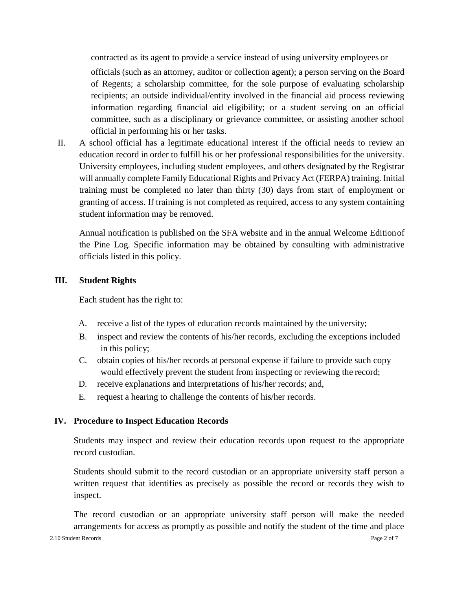contracted as its agent to provide a service instead of using university employees or

officials (such as an attorney, auditor or collection agent); a person serving on the Board of Regents; a scholarship committee, for the sole purpose of evaluating scholarship recipients; an outside individual/entity involved in the financial aid process reviewing information regarding financial aid eligibility; or a student serving on an official committee, such as a disciplinary or grievance committee, or assisting another school official in performing his or her tasks.

II. A school official has a legitimate educational interest if the official needs to review an education record in order to fulfill his or her professional responsibilities for the university. University employees, including student employees, and others designated by the Registrar will annually complete Family Educational Rights and Privacy Act (FERPA) training. Initial training must be completed no later than thirty (30) days from start of employment or granting of access. If training is not completed as required, access to any system containing student information may be removed.

Annual notification is published on the SFA website and in the annual Welcome Editionof the Pine Log. Specific information may be obtained by consulting with administrative officials listed in this policy.

#### **III. Student Rights**

Each student has the right to:

- A. receive a list of the types of education records maintained by the university;
- B. inspect and review the contents of his/her records, excluding the exceptions included in this policy;
- C. obtain copies of his/her records at personal expense if failure to provide such copy would effectively prevent the student from inspecting or reviewing the record;
- D. receive explanations and interpretations of his/her records; and,
- E. request a hearing to challenge the contents of his/her records.

#### **IV. Procedure to Inspect Education Records**

Students may inspect and review their education records upon request to the appropriate record custodian.

Students should submit to the record custodian or an appropriate university staff person a written request that identifies as precisely as possible the record or records they wish to inspect.

The record custodian or an appropriate university staff person will make the needed arrangements for access as promptly as possible and notify the student of the time and place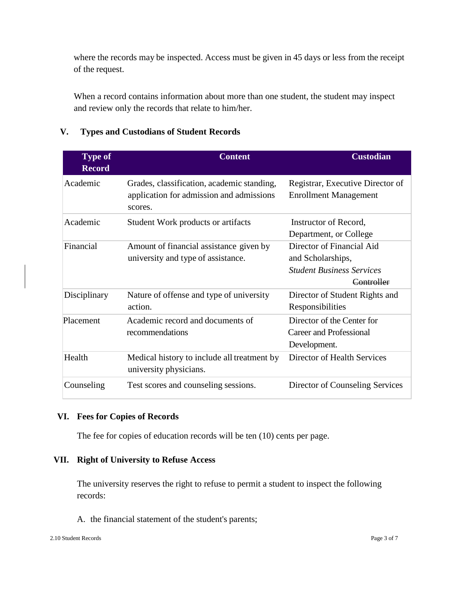where the records may be inspected. Access must be given in 45 days or less from the receipt of the request.

When a record contains information about more than one student, the student may inspect and review only the records that relate to him/her.

| <b>Type of</b> | <b>Content</b>                                                                                    | <b>Custodian</b>                                                 |
|----------------|---------------------------------------------------------------------------------------------------|------------------------------------------------------------------|
| <b>Record</b>  |                                                                                                   |                                                                  |
| Academic       | Grades, classification, academic standing,<br>application for admission and admissions<br>scores. | Registrar, Executive Director of<br><b>Enrollment Management</b> |
| Academic       | Student Work products or artifacts                                                                | Instructor of Record,                                            |
|                |                                                                                                   | Department, or College                                           |
| Financial      | Amount of financial assistance given by                                                           | Director of Financial Aid                                        |
|                | university and type of assistance.                                                                | and Scholarships,                                                |
|                |                                                                                                   | <b>Student Business Services</b>                                 |
|                |                                                                                                   | Controller                                                       |
| Disciplinary   | Nature of offense and type of university                                                          | Director of Student Rights and                                   |
|                | action.                                                                                           | Responsibilities                                                 |
| Placement      | Academic record and documents of<br>recommendations                                               | Director of the Center for                                       |
|                |                                                                                                   | Career and Professional                                          |
|                |                                                                                                   | Development.                                                     |
| Health         | Medical history to include all treatment by<br>university physicians.                             | Director of Health Services                                      |
| Counseling     | Test scores and counseling sessions.                                                              | Director of Counseling Services                                  |

# **V. Types and Custodians of Student Records**

#### **VI. Fees for Copies of Records**

The fee for copies of education records will be ten (10) cents per page.

#### **VII. Right of University to Refuse Access**

The university reserves the right to refuse to permit a student to inspect the following records:

A. the financial statement of the student's parents;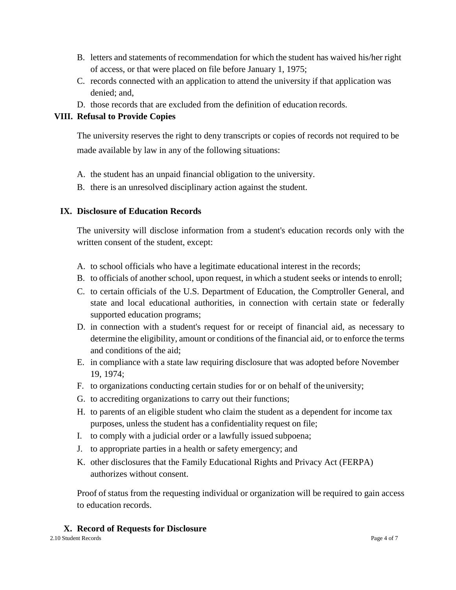- B. letters and statements of recommendation for which the student has waived his/her right of access, or that were placed on file before January 1, 1975;
- C. records connected with an application to attend the university if that application was denied; and,
- D. those records that are excluded from the definition of education records.

# **VIII. Refusal to Provide Copies**

The university reserves the right to deny transcripts or copies of records not required to be made available by law in any of the following situations:

- A. the student has an unpaid financial obligation to the university.
- B. there is an unresolved disciplinary action against the student.

## **IX. Disclosure of Education Records**

The university will disclose information from a student's education records only with the written consent of the student, except:

- A. to school officials who have a legitimate educational interest in the records;
- B. to officials of another school, upon request, in which a student seeks or intends to enroll;
- C. to certain officials of the U.S. Department of Education, the Comptroller General, and state and local educational authorities, in connection with certain state or federally supported education programs;
- D. in connection with a student's request for or receipt of financial aid, as necessary to determine the eligibility, amount or conditions of the financial aid, or to enforce the terms and conditions of the aid;
- E. in compliance with a state law requiring disclosure that was adopted before November 19, 1974;
- F. to organizations conducting certain studies for or on behalf of the university;
- G. to accrediting organizations to carry out their functions;
- H. to parents of an eligible student who claim the student as a dependent for income tax purposes, unless the student has a confidentiality request on file;
- I. to comply with a judicial order or a lawfully issued subpoena;
- J. to appropriate parties in a health or safety emergency; and
- K. other disclosures that the Family Educational Rights and Privacy Act (FERPA) authorizes without consent.

Proof of status from the requesting individual or organization will be required to gain access to education records.

# **X. Record of Requests for Disclosure**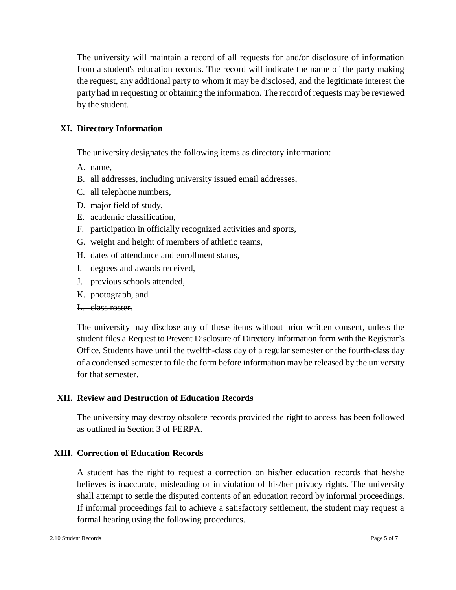The university will maintain a record of all requests for and/or disclosure of information from a student's education records. The record will indicate the name of the party making the request, any additional party to whom it may be disclosed, and the legitimate interest the party had in requesting or obtaining the information. The record of requests may be reviewed by the student.

#### **XI. Directory Information**

The university designates the following items as directory information:

- A. name,
- B. all addresses, including university issued email addresses,
- C. all telephone numbers,
- D. major field of study,
- E. academic classification,
- F. participation in officially recognized activities and sports,
- G. weight and height of members of athletic teams,
- H. dates of attendance and enrollment status,
- I. degrees and awards received,
- J. previous schools attended,
- K. photograph, and

#### L. class roster.

The university may disclose any of these items without prior written consent, unless the student files a Request to Prevent Disclosure of Directory Information form with the Registrar's Office. Students have until the twelfth-class day of a regular semester or the fourth-class day of a condensed semester to file the form before information may be released by the university for that semester.

#### **XII. Review and Destruction of Education Records**

The university may destroy obsolete records provided the right to access has been followed as outlined in Section 3 of FERPA.

#### **XIII. Correction of Education Records**

A student has the right to request a correction on his/her education records that he/she believes is inaccurate, misleading or in violation of his/her privacy rights. The university shall attempt to settle the disputed contents of an education record by informal proceedings. If informal proceedings fail to achieve a satisfactory settlement, the student may request a formal hearing using the following procedures.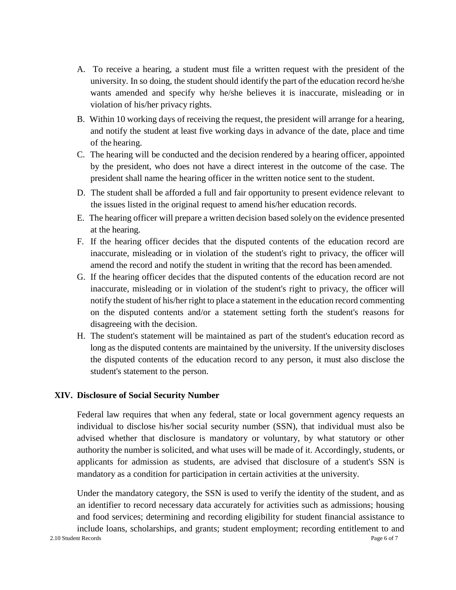- A. To receive a hearing, a student must file a written request with the president of the university. In so doing, the student should identify the part of the education record he/she wants amended and specify why he/she believes it is inaccurate, misleading or in violation of his/her privacy rights.
- B. Within 10 working days of receiving the request, the president will arrange for a hearing, and notify the student at least five working days in advance of the date, place and time of the hearing.
- C. The hearing will be conducted and the decision rendered by a hearing officer, appointed by the president, who does not have a direct interest in the outcome of the case. The president shall name the hearing officer in the written notice sent to the student.
- D. The student shall be afforded a full and fair opportunity to present evidence relevant to the issues listed in the original request to amend his/her education records.
- E. The hearing officer will prepare a written decision based solely on the evidence presented at the hearing.
- F. If the hearing officer decides that the disputed contents of the education record are inaccurate, misleading or in violation of the student's right to privacy, the officer will amend the record and notify the student in writing that the record has been amended.
- G. If the hearing officer decides that the disputed contents of the education record are not inaccurate, misleading or in violation of the student's right to privacy, the officer will notify the student of his/her right to place a statement in the education record commenting on the disputed contents and/or a statement setting forth the student's reasons for disagreeing with the decision.
- H. The student's statement will be maintained as part of the student's education record as long as the disputed contents are maintained by the university. If the university discloses the disputed contents of the education record to any person, it must also disclose the student's statement to the person.

#### **XIV. Disclosure of Social Security Number**

Federal law requires that when any federal, state or local government agency requests an individual to disclose his/her social security number (SSN), that individual must also be advised whether that disclosure is mandatory or voluntary, by what statutory or other authority the number is solicited, and what uses will be made of it. Accordingly, students, or applicants for admission as students, are advised that disclosure of a student's SSN is mandatory as a condition for participation in certain activities at the university.

Under the mandatory category, the SSN is used to verify the identity of the student, and as an identifier to record necessary data accurately for activities such as admissions; housing and food services; determining and recording eligibility for student financial assistance to include loans, scholarships, and grants; student employment; recording entitlement to and